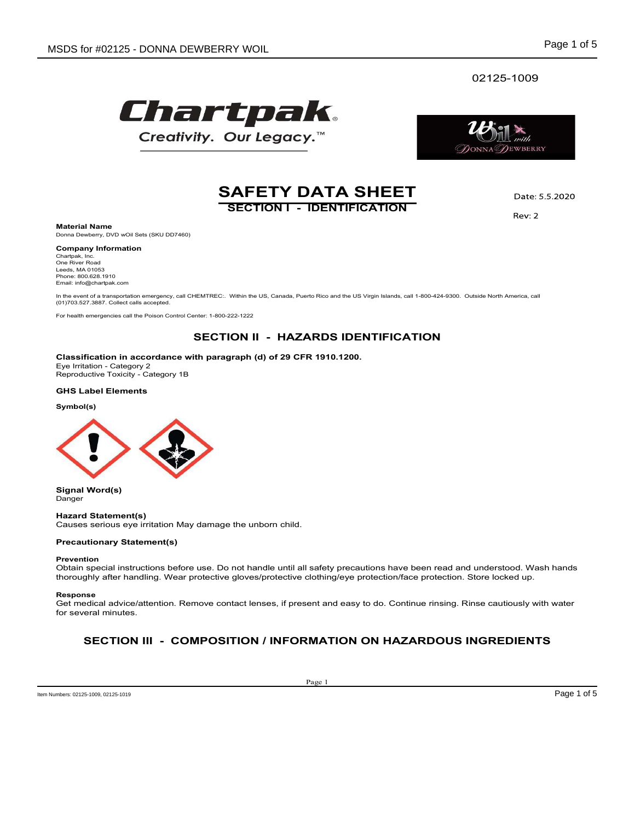### 02125-1009





# **SAFETY DATA SHEET**<br>
SECTION 1 - IDENTIFICATION

Material Name<br>Donna Dewberry, DVD wOil Sets (SKU DD7460)

# Company Information

Chartpak, Inc.<br>One River Road

In the event of a transportation emergency, call CHEMTREC:. Within the US, Canada, Puerto Rico and the US Virgin Islands, call 1-800-424-9300. Outside North America, call<br>(01)703.527.3887. Collect calls accepted.

For health emergencies call the Poison Control Center: 1-800-222-1222

Classification in accordance with paragraph (d) of 29 CFR 1910.1200.<br>Eye Irritation - Category 2

### GHS Label Elements

Symbol(s)



Signal Word(s) Danger

### Hazard Statement(s)

Causes serious eye irritation May damage the unborn child.

### Precautionary Statement(s)

### Prevention

safety precautions have been read and understood. Wash hands<br>
safety precautions have been read and understood. Wash hands<br>
ent and easy to do. Continue rinsing. Rinse cautiously with water<br> **EMATION ON HAZARDOUS INGREDIEN** Obtain special instructions before use. Do not handle until all safety precautions have been read and understood. Wash hands thoroughly after handling. Wear protective gloves/protective clothing/eye protection/face protection. Store locked up.

### Response

Get medical advice/attention. Remove contact lenses, if present and easy to do. Continue rinsing. Rinse cautiously with water for several minutes.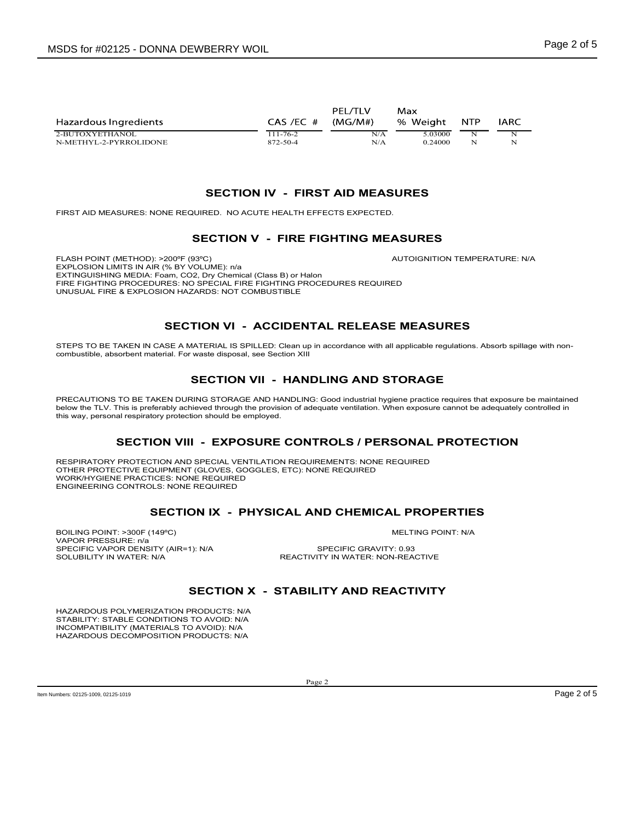| ISDS for #02125 - DONNA DEWBERRY WOIL                                                                                                                                                                                                                                                                                                     |                                                 |                       |                                |                                          |                                                        | Page 2 of 5 |
|-------------------------------------------------------------------------------------------------------------------------------------------------------------------------------------------------------------------------------------------------------------------------------------------------------------------------------------------|-------------------------------------------------|-----------------------|--------------------------------|------------------------------------------|--------------------------------------------------------|-------------|
|                                                                                                                                                                                                                                                                                                                                           |                                                 | PEL/TLV               | Max                            |                                          |                                                        |             |
| Hazardous Ingredients<br>2-BUTOXYETHANOL<br>N-METHYL-2-PYRROLIDONE                                                                                                                                                                                                                                                                        | $CAS$ /EC $#$<br>$111 - 76 - 2$<br>872-50-4     | (MG/M#)<br>N/A<br>N/A | % Weight<br>5.03000<br>0.24000 | <b>NTP</b><br>$\mathbf N$<br>$\mathbf N$ | IARC<br>N<br>N                                         |             |
|                                                                                                                                                                                                                                                                                                                                           | SECTION IV - FIRST AID MEASURES                 |                       |                                |                                          |                                                        |             |
| FIRST AID MEASURES: NONE REQUIRED. NO ACUTE HEALTH EFFECTS EXPECTED.                                                                                                                                                                                                                                                                      |                                                 |                       |                                |                                          |                                                        |             |
|                                                                                                                                                                                                                                                                                                                                           | <b>SECTION V - FIRE FIGHTING MEASURES</b>       |                       |                                |                                          |                                                        |             |
| FLASH POINT (METHOD): >200°F (93°C)<br>EXPLOSION LIMITS IN AIR (% BY VOLUME): n/a<br>EXTINGUISHING MEDIA: Foam, CO2, Dry Chemical (Class B) or Halon<br>FIRE FIGHTING PROCEDURES: NO SPECIAL FIRE FIGHTING PROCEDURES REQUIRED<br>UNUSUAL FIRE & EXPLOSION HAZARDS: NOT COMBUSTIBLE                                                       |                                                 |                       | AUTOIGNITION TEMPERATURE: N/A  |                                          |                                                        |             |
|                                                                                                                                                                                                                                                                                                                                           | <b>SECTION VI - ACCIDENTAL RELEASE MEASURES</b> |                       |                                |                                          |                                                        |             |
| STEPS TO BE TAKEN IN CASE A MATERIAL IS SPILLED: Clean up in accordance with all applicable regulations. Absorb spillage with non-<br>combustible, absorbent material. For waste disposal, see Section XIII                                                                                                                               |                                                 |                       |                                |                                          |                                                        |             |
|                                                                                                                                                                                                                                                                                                                                           | <b>SECTION VII - HANDLING AND STORAGE</b>       |                       |                                |                                          |                                                        |             |
| PRECAUTIONS TO BE TAKEN DURING STORAGE AND HANDLING: Good industrial hygiene practice requires that exposure be maintained<br>below the TLV. This is preferably achieved through the provision of adequate ventilation. When exposure cannot be adequately controlled in<br>this way, personal respiratory protection should be employed. |                                                 |                       |                                |                                          |                                                        |             |
|                                                                                                                                                                                                                                                                                                                                           |                                                 |                       |                                |                                          | SECTION VIII - EXPOSURE CONTROLS / PERSONAL PROTECTION |             |

EXPLOSION LIMITS IN AIR (% BY VOLUME): n/a FIRE FIGHTING PROCEDURES: NO SPECIAL FIRE FIGHTING PROCEDURES REQUIRED UNUSUAL FIRE & EXPLOSION HAZARDS: NOT COMBUSTIBLE **BECTION IV - FIRST AID MEASURES**<br>
SECTION V - FIRST AID MEASURES<br>
FINST AT MEASURES<br>
FINST AT MEASURES<br>
SECTION V - FIRE FIGHTING MEASURES<br>
EXTRIGUISHING ACOUNT CONTROL CONTROLLING THE PROVISION OF AUTOIGNTION TEMPERATUR SECTION IV - FIRST AID MEASURES<br>
SURES. NONE REQUIRED. NO ACUTE HEALTH EFFECTS EXPECTED.<br>
SECTION V - FIRE FIGHTING MEASURES<br>
METHOD: >20075 (92°C).<br>
AUTOIGNITION TEMPERATURE: NA<br>
FROCEDURES NO STOLUME; no<br>
PROCEDURES NO S

PRECAUTIONS TO BE TAKEN DURING STORAGE AND HANDLING: Good industrial hygiene practice requires that exposure be maintained<br>below the TLV. This is preferably achieved through the provision of adequate ventilation. When expo this way, personal respiratory protection should be employed. SECTION IN A SECTION REQUIREMENTS NONE REQUIRED<br>
SECTION IX - PHYSICAL AND CHEMICAL PROPERTIES<br>
SECTION VI - ACCIDENTAL RELEASE MEASURES<br>
SECTION VI - ACCIDENTAL RELEASE MEASURES<br>
SECTION VI - ACCIDENTAL RELEASE MEASURES<br> EXPOSIDANTS PIAR (R. BY VOLUME), RADIO THE RELEASE REQUIRED TRIVITY IN VATER RATE AND SECTION IN A CHARGE THE RELEASE MEASURES<br>
BOILING POINT: NOTE AND CONSUMER PROPERTIES FROM THE RELEASE MEASURES<br>
SECTION VI - ACCIDENTAL ERE FOR THE REVISION WAS RECORDED TO EXAMPLE THE RECORD TO EXAMPLE THE SETTION VI - ACCIDENTAL RELEASE MEASURES<br>
SPECIFIC VALUE (NATION AND SPILLE). Clean up in accretating with all applicable regulations. About spillage w SOLUTION TREAT CONTROL STATE IN A REACTIVITY IN WATER AND SECTION VI THE SOLUTION OF THE SOLUTION OF THE SOLUTION OF THE SOLUTION OF THE SOLUTION OF THE SOLUTION OF THE SOLUTION OF THE SOLUTION OF THE SOLUTION OF THE SOLUT TION VI - ACCIDENTAL RELEASE MEASURES<br>
MATERIAL IS SPILLED: Clean up in accordance with all applicable regulations. Absorb spillage with non-<br>
NY TRIAL IS PILLED: Clean up in accordance with all applicable regulations. Abs

**NTROLS / PERSONAL PROTECTION**<br>
UIREMENTS: NONE REQUIRED<br>
NONE REQUIRED<br>
AND CHEMICAL PROPERTIES<br>
MELTING POINT: N/A<br>
SPECIFIC GRAVITY: 0.93<br>
ILITY AND REACTIVITY<br>
ILITY AND REACTIVITY<br>
P<sub>age 2</sub> of P<sub>age</sub> 2 of 5 RESPIRATORY PROTECTION AND SPECIAL VENTILATION REQUIREMENTS: NONE REQUIRED OTHER PROTECTIVE EQUIPMENT (GLOVES, GOGGLES, ETC): NONE REQUIRED WORK/HYGIENE PRACTICES: NONE REQUIRED ENGINEERING CONTROLS: NONE REQUIRED

VAPOR PRESSURE: n/a<br>SPECIFIC VAPOR DENSITY (AIR=1): N/A SPECIFIC GRAVITY: 0.93

HAZARDOUS POLYMERIZATION PRODUCTS: N/A STABILITY: STABLE CONDITIONS TO AVOID: N/A INCOMPATIBILITY (MATERIALS TO AVOID): N/A HAZARDOUS DECOMPOSITION PRODUCTS: N/A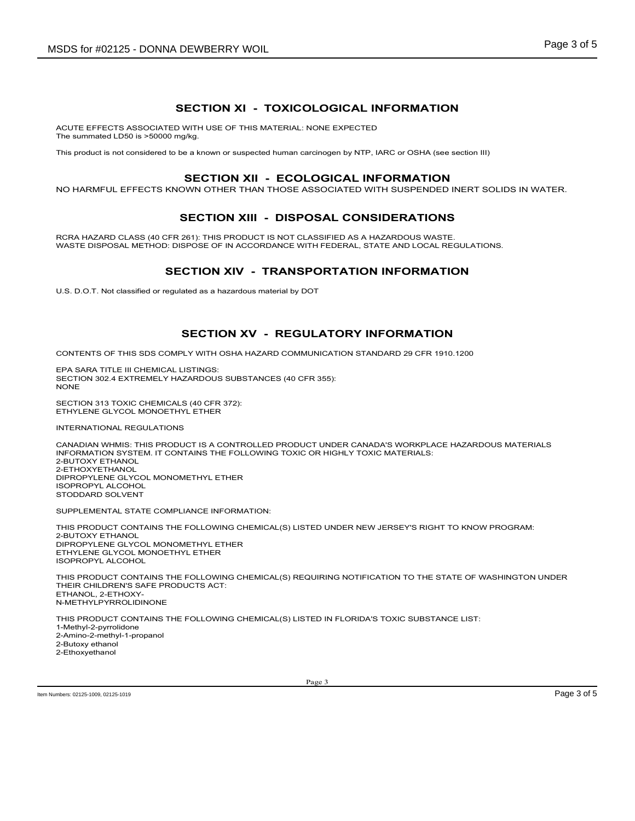SECTION XI - TOXICOLOGICAL INFORMATION<br>
SECTION XI - TOXICOLOGICAL INFORMATION<br>
D WITH USE OF THIS MATERIAL: NONE EXPECTED<br>
be a known or suspected human carcinogen by NTP, IARC or OSHA (see section III)<br>
................. ACUTE EFFECTS ASSOCIATED WITH USE OF THIS MATERIAL: NONE EXPECTED The summated LD50 is >50000 mg/kg. SDS for #02125 - DONNA DEWBERRY WOIL<br>
SECTION XI - TOXICOLOGICAL INFORMATION<br>
This product is not considered to be a known or suspected human carcinogen by NTP, IARC or OSHA (see section III)<br>
SECTION XII - ECOLOGICAL INFO

NO HARMFUL EFFECTS KNOWN OTHER THAN THOSE ASSOCIATED WITH SUSPENDED INERT SOLIDS IN WATER.

**Page 3 of 5<br>ECTION XI - TOXICOLOGICAL INFORMATION<br>WITH USE OF THIS MATERIAL: NONE EXPECTED<br>W<sup>ING:</sup><br>Be a known or suspected human carcinogen by NTP, IARC or OSHA (see section III)<br>SECTION XIII - ECOLOGICAL INFORMATION<br>SECT** DEWBERRY WOIL<br>
SECTION XI - TOXICOLOGICAL INFORMATION<br>
WITH USE OF THIS MATERIAL: NONE EXPECTED<br>
SO A KNOWN OF SUSPOSED INJIMA carcinogen by NTP, IARC or OSHA (see section III)<br>
SECTION XIII - ECOLOGICAL INFORMATION<br>
SECTI RCRA HAZARD CLASS (40 CFR 261): THIS PRODUCT IS NOT CLASSIFIED AS A HAZARDOUS WASTE.<br>The product is not considered to be a known or suspected initial - NONE EXPECTED<br>This product is not considered to be a known or suspecte RCRA HAZARD CLASS (40 CFR 261): THIS PRODUCT IS NOT CLASSIFIED AS A HAZARDOUS WASTE.<br>WASTE DISPOSAL METHOD: DISPOSE OF IN ACCORDANCE WITH FEDERAL, STATE AND LOCAL REGULATIONS. VA DEWBERRY WOIL<br>
SECTION XI - TOXICOLOGICAL INFORMATION<br>
TED WITH USE OF THIS MATERIAL: NONE EXPECTED<br>
30 mg/kg.<br>
II to be a known or suspected human cardingem by NTP, IARC or OSHA (see section III)<br>
SECTION XIII - ECOLOG SECTION XI - TOXICOLOGICAL INFORMATION<br>WITH USE OF THIS MATERIAL: NONE EXPECTED<br>1974).<br>SECTION XII - ECOLOGICAL INFORMATION<br>SECTION XII - DISPOSAL CONSIDERATIONS<br>SECTION XIII - DISPOSAL CONSIDERATIONS<br>SECTION XIII - DISPOS

U.S. D.O.T. Not classified or regulated as a hazardous material by DOT

CONTENTS OF THIS SDS COMPLY WITH OSHA HAZARD COMMUNICATION STANDARD 29 CFR 1910.1200

EPA SARA TITLE III CHEMICAL LISTINGS: SECTION 302.4 EXTREMELY HAZARDOUS SUBSTANCES (40 CFR 355): NONE **NOTE** 

SECTION 313 TOXIC CHEMICALS (40 CFR 372): ETHYLENE GLYCOL MONOETHYL ETHER

INTERNATIONAL REGULATIONS

CT UNDER CANADA'S WORKPLACE HAZARDOUS MATERIALS<br>OR HIGHLY TOXIC MATERIALS:<br>TED UNDER NEW JERSEY'S RIGHT TO KNOW PROGRAM:<br>QUIRING NOTIFICATION TO THE STATE OF WASHINGTON UNDER<br>TED IN FLORIDA'S TOXIC SUBSTANCE LIST:<br>Page 3<br>P CANADIAN WHMIS: THIS PRODUCT IS A CONTROLLED PRODUCT UNDER CANADA'S WORKPLACE HAZARDOUS MATERIALS INFORMATION SYSTEM. IT CONTAINS THE FOLLOWING TOXIC OR HIGHLY TOXIC MATERIALS: 2-BUTOXY ETHANOL 2-ETHOXYETHANOL DIPROPYLENE GLYCOL MONOMETHYL ETHER ISOPROPYL ALCOHOL STODDARD SOLVENT

SUPPLEMENTAL STATE COMPLIANCE INFORMATION:

THIS PRODUCT CONTAINS THE FOLLOWING CHEMICAL(S) LISTED UNDER NEW JERSEY'S RIGHT TO KNOW PROGRAM:

2-BUTOXY ETHANOL DIPROPYLENE GLYCOL MONOMETHYL ETHER ETHYLENE GLYCOL MONOETHYL ETHER ISOPROPYL ALCOHOL

THIS PRODUCT CONTAINS THE FOLLOWING CHEMICAL(S) REQUIRING NOTIFICATION TO THE STATE OF WASHINGTON UNDER THEIR CHILDREN'S SAFE PRODUCTS ACT: ETHANOL, 2-ETHOXY-N-METHYLPYRROLIDINONE

THIS PRODUCT CONTAINS THE FOLLOWING CHEMICAL(S) LISTED IN FLORIDA'S TOXIC SUBSTANCE LIST: 1-Methyl-2-pyrrolidone 2-Amino-2-methyl-1-propanol 2-Butoxy ethanol 2-Ethoxyethanol

Item Numbers: 02125-1009, 02125-1019 Page 3 of 5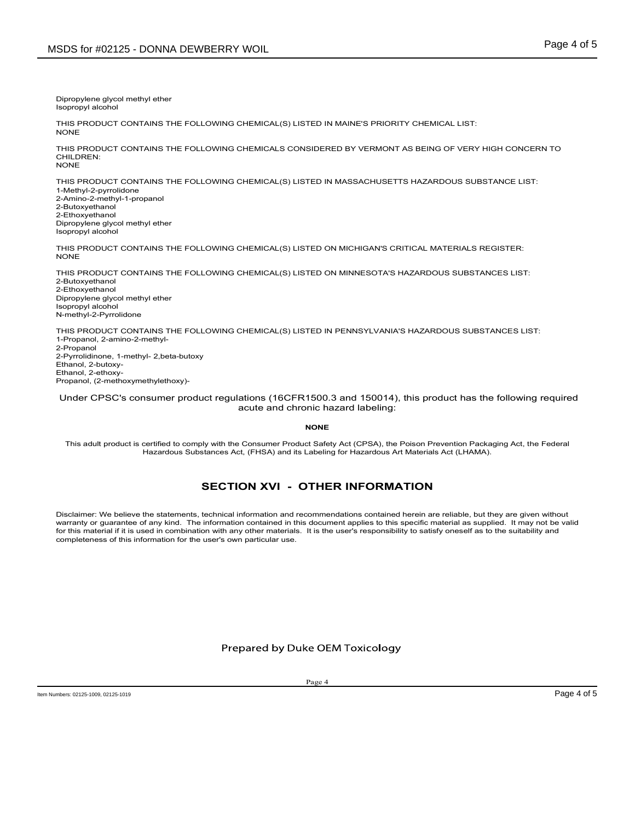Dipropylene glycol methyl ether Isopropyl alcohol

THIS PRODUCT CONTAINS THE FOLLOWING CHEMICAL(S) LISTED IN MAINE'S PRIORITY CHEMICAL LIST: NONE **NOTE** 

THIS PRODUCT CONTAINS THE FOLLOWING CHEMICALS CONSIDERED BY VERMONT AS BEING OF VERY HIGH CONCERN TO CHILDREN:<br>NONE NONE **NOTE** 

THIS PRODUCT CONTAINS THE FOLLOWING CHEMICAL(S) LISTED IN MASSACHUSETTS HAZARDOUS SUBSTANCE LIST: 1-Methyl-2-pyrrolidone

2-Amino-2-methyl-1-propanol 2-Butoxyethanol 2-Ethoxyethanol Dipropylene glycol methyl ether Isopropyl alcohol

THIS PRODUCT CONTAINS THE FOLLOWING CHEMICAL(S) LISTED ON MICHIGAN'S CRITICAL MATERIALS REGISTER:<br>NONE NONE **NOTE** 

SDS for #02125 - DONNA DEWBERRY WOIL<br>Disproprints agreed methyl ether<br>This product contains the following chemical (s) listed in Maine's priority chemical list:<br>This product contains the following chemical sconsidered by v THIS PRODUCT CONTAINS THE FOLLOWING CHEMICAL(S) LISTED ON MINNESOTA'S HAZARDOUS SUBSTANCES LIST:<br>2-Butoxyethanol 2-Ethoxyethanol Dipropylene glycol methyl ether

Isopropyl alcohol N-methyl-2-Pyrrolidone

Dipropylene glykai methyl ehner<br>THIS PRODUCT CONTAINS THE FOLLOWING CHEMICAL(S) LISTED IN MAINE'S PRIORITY CHEMICAL LIST:<br>THIS PRODUCT CONTAINS THE FOLLOWING CHEMICAL(S) LISTED BY VERMONT AS BEING OF VERY HIGH CONCERN TO<br>T 1-Propanol, 2-amino-2-methyl-2-Propanol<br>2-Pyrrolidinone, 1-methyl- 2,beta-butoxy Dipropylene giyeol methyl ether<br>THIS PRODUCT CONTAINS THE FOLLOWING CHEMICAL(S) LISTED IN MAINE'S PRIORITY CHEMICAL LIST:<br>THIS PRODUCT CONTAINS THE FOLLOWING CHEMICALS CONSIDERED BY VERMONT AS BEING OF VERY HIT<br>HIS PRODUCT Ethanol, 2-butoxy-Ethanol, 2-ethoxy-Propanol, (2-methoxymethylethoxy)- AINS THE FOLLOWING CHEMICAL(S) LISTED IN MASSACHUSETTS HAZARDOUS SUBSTANCE LIST:<br>panol<br>pyi ether<br>AINS THE FOLLOWING CHEMICAL(S) LISTED ON MICHIGAN'S CRITICAL MATERIALS REGISTER:<br>AINS THE FOLLOWING CHEMICAL(S) LISTED ON MIN LOWING CHEMICAL(S) LISTED ON MICHIGAN'S CRITICAL MATERIALS REGISTER:<br>LOWING CHEMICAL(S) LISTED ON MINNESOTA'S HAZARDOUS SUBSTANCES LIST;<br>SUNDAING CHEMICAL(S) LISTED IN PENNSYLVANIA'S HAZARDOUS SUBSTANCES LIST;<br>And the regu This PRODUCT CONTAINS THE FOLLOWING CHEMICAL(S) LISTED ON MICHIGAN'S CRITICAL MATERIALS REGISTER:<br>THIS PRODUCT CONTAINS THE FOLLOWING CHEMICAL(S) LISTED ON MINNESOTA'S HAZARDOUS SUBSTANCES LIST:<br>Disproprince styles that<br>ar warranty or guarantee of any kind. This product contribute of any kind. This product contribute in this document applies to any contained in this specifical any operator of any contempt applies to the interpret of any cont

Under CPSC's consumer product regulations (16CFR1500.3 and 150014), this product has the following required acute and chronic hazard labeling:

### NONE **NOTE**

This adult product is certified to comply with the Consumer Product Safety Act (CPSA), the Poison Prevention Packaging Act, the Federal<br>Hazardous Substances Act, (FHSA) and its Labeling for Hazardous Art Materials Act (LHA

NONE<br>
Stafety Act (CPSA), the Poison Prevention Packaging Act, the Federal<br>
Labeling for Hazardous Art Materials Act (LHAMA).<br>
THER INFORMATION<br>
commendations contained herein are reliable, but they are given without<br>
docu for this material if it is used in combination with any other materials. It is the user's responsibility to satisfy oneself as to the suitability and completeness of this information for the user's own particular use.